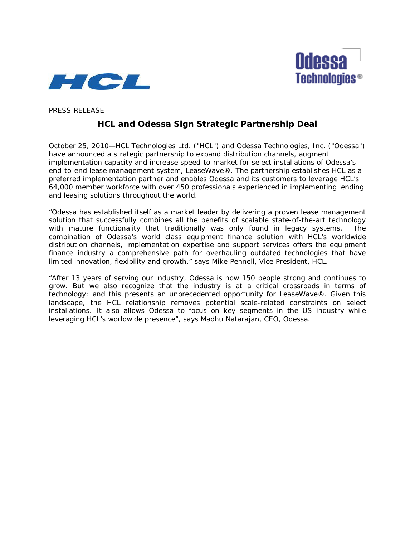



PRESS RELEASE

# **HCL and Odessa Sign Strategic Partnership Deal**

October 25, 2010—HCL Technologies Ltd. ("HCL") and Odessa Technologies, Inc. ("Odessa") have announced a strategic partnership to expand distribution channels, augment implementation capacity and increase speed-to-market for select installations of Odessa's end-to-end lease management system, LeaseWave®. The partnership establishes HCL as a preferred implementation partner and enables Odessa and its customers to leverage HCL's 64,000 member workforce with over 450 professionals experienced in implementing lending and leasing solutions throughout the world.

"Odessa has established itself as a market leader by delivering a proven lease management solution that successfully combines all the benefits of scalable state-of-the-art technology with mature functionality that traditionally was only found in legacy systems. The combination of Odessa's world class equipment finance solution with HCL's worldwide distribution channels, implementation expertise and support services offers the equipment finance industry a comprehensive path for overhauling outdated technologies that have limited innovation, flexibility and growth." says Mike Pennell, Vice President, HCL.

"After 13 years of serving our industry, Odessa is now 150 people strong and continues to grow. But we also recognize that the industry is at a critical crossroads in terms of technology; and this presents an unprecedented opportunity for LeaseWave®. Given this landscape, the HCL relationship removes potential scale-related constraints on select installations. It also allows Odessa to focus on key segments in the US industry while leveraging HCL's worldwide presence", says Madhu Natarajan, CEO, Odessa.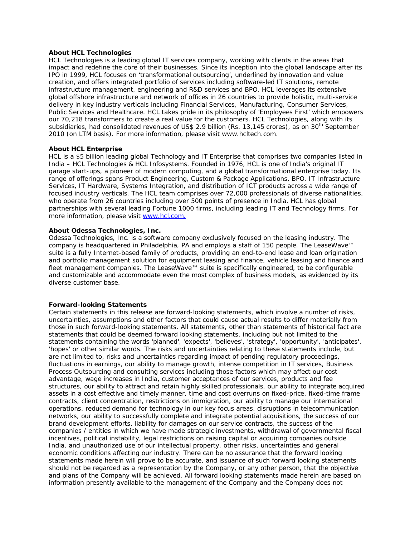## **About HCL Technologies**

HCL Technologies is a leading global IT services company, working with clients in the areas that impact and redefine the core of their businesses. Since its inception into the global landscape after its IPO in 1999, HCL focuses on 'transformational outsourcing', underlined by innovation and value creation, and offers integrated portfolio of services including software-led IT solutions, remote infrastructure management, engineering and R&D services and BPO. HCL leverages its extensive global offshore infrastructure and network of offices in 26 countries to provide holistic, multi-service delivery in key industry verticals including Financial Services, Manufacturing, Consumer Services, Public Services and Healthcare. HCL takes pride in its philosophy of 'Employees First' which empowers our 70,218 transformers to create a real value for the customers. HCL Technologies, along with its subsidiaries, had consolidated revenues of US\$ 2.9 billion (Rs. 13,145 crores), as on 30<sup>th</sup> September 2010 (on LTM basis). For more information, please visit www.hcltech.com.

# **About HCL Enterprise**

HCL is a \$5 billion leading global Technology and IT Enterprise that comprises two companies listed in India – HCL Technologies & HCL Infosystems. Founded in 1976, HCL is one of India's original IT garage start-ups, a pioneer of modern computing, and a global transformational enterprise today. Its range of offerings spans Product Engineering, Custom & Package Applications, BPO, IT Infrastructure Services, IT Hardware, Systems Integration, and distribution of ICT products across a wide range of focused industry verticals. The HCL team comprises over 72,000 professionals of diverse nationalities, who operate from 26 countries including over 500 points of presence in India. HCL has global partnerships with several leading Fortune 1000 firms, including leading IT and Technology firms. For more information, please visit [www.hcl.com.](http://www.hcl.com/)

## **About Odessa Technologies, Inc.**

Odessa Technologies, Inc. is a software company exclusively focused on the leasing industry. The company is headquartered in Philadelphia, PA and employs a staff of 150 people. The LeaseWave™ suite is a fully Internet-based family of products, providing an end-to-end lease and loan origination and portfolio management solution for [equipment leasing](http://www.odessatechnologies.com/products/equipment-finance/index.html) and finance, [vehicle leasing and finance and](http://www.odessatechnologies.com/products/vehicle-fleet-leasing/index.html)  [fleet management](http://www.odessatechnologies.com/products/vehicle-fleet-leasing/index.html) companies. The LeaseWave™ suite is specifically engineered, to be configurable and customizable and accommodate even the most complex of business models, as evidenced by its diverse customer base.

#### **Forward-looking Statements**

Certain statements in this release are forward-looking statements, which involve a number of risks, uncertainties, assumptions and other factors that could cause actual results to differ materially from those in such forward-looking statements. All statements, other than statements of historical fact are statements that could be deemed forward looking statements, including but not limited to the statements containing the words 'planned', 'expects', 'believes', 'strategy', 'opportunity', 'anticipates', 'hopes' or other similar words. The risks and uncertainties relating to these statements include, but are not limited to, risks and uncertainties regarding impact of pending regulatory proceedings, fluctuations in earnings, our ability to manage growth, intense competition in IT services, Business Process Outsourcing and consulting services including those factors which may affect our cost advantage, wage increases in India, customer acceptances of our services, products and fee structures, our ability to attract and retain highly skilled professionals, our ability to integrate acquired assets in a cost effective and timely manner, time and cost overruns on fixed-price, fixed-time frame contracts, client concentration, restrictions on immigration, our ability to manage our international operations, reduced demand for technology in our key focus areas, disruptions in telecommunication networks, our ability to successfully complete and integrate potential acquisitions, the success of our brand development efforts, liability for damages on our service contracts, the success of the companies / entities in which we have made strategic investments, withdrawal of governmental fiscal incentives, political instability, legal restrictions on raising capital or acquiring companies outside India, and unauthorized use of our intellectual property, other risks, uncertainties and general economic conditions affecting our industry. There can be no assurance that the forward looking statements made herein will prove to be accurate, and issuance of such forward looking statements should not be regarded as a representation by the Company, or any other person, that the objective and plans of the Company will be achieved. All forward looking statements made herein are based on information presently available to the management of the Company and the Company does not